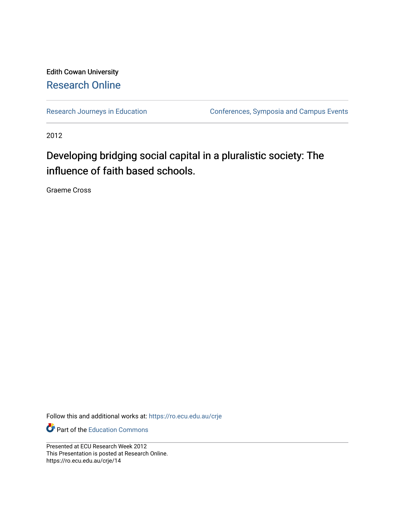#### Edith Cowan University [Research Online](https://ro.ecu.edu.au/)

[Research Journeys in Education](https://ro.ecu.edu.au/crje) **Conferences**, Symposia and Campus Events

2012

#### Developing bridging social capital in a pluralistic society: The influence of faith based schools.

Graeme Cross

Follow this and additional works at: [https://ro.ecu.edu.au/crje](https://ro.ecu.edu.au/crje?utm_source=ro.ecu.edu.au%2Fcrje%2F14&utm_medium=PDF&utm_campaign=PDFCoverPages) 

Part of the [Education Commons](http://network.bepress.com/hgg/discipline/784?utm_source=ro.ecu.edu.au%2Fcrje%2F14&utm_medium=PDF&utm_campaign=PDFCoverPages)

Presented at ECU Research Week 2012 This Presentation is posted at Research Online. https://ro.ecu.edu.au/crje/14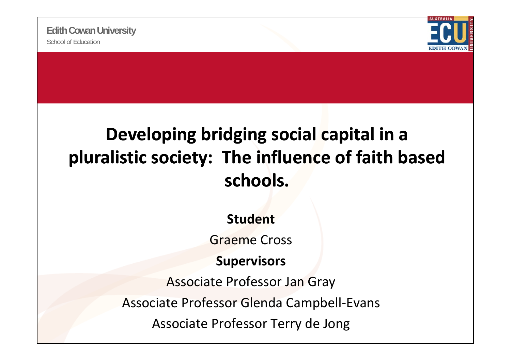

### **Developing bridging social capital in <sup>a</sup> pluralistic society: The influence of faith based schools.**

**Student**

Graeme Cross

### **Supervisors**

Associate Professor Jan Gray Associate Professor Glenda Campbell ‐Evans Associate Professor Terry de Jong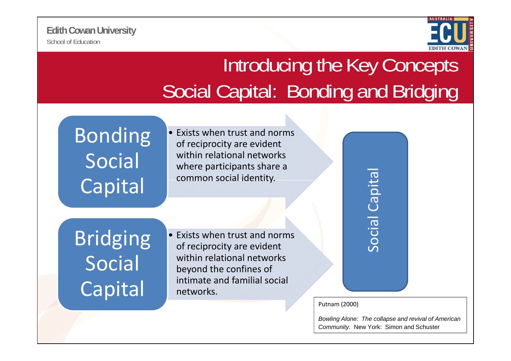

# Introducing the Key Concepts Social Capital: Bonding and Bridging

# Social Capital common social identity.

• Exists when $\mathsf{Bonding}$   $\cdot$  Exists when trust and norms of reciprocity are evident within relational networks where participants share <sup>a</sup> common social identity.

Bridging Social Capital

• Exists when trust and norms of reciprocity are evident within relational networks beyond the confines of intimate and familial social networks.

 $\boldsymbol{\sigma}$ l Capi Soci

Putnam (2000)

*Bowling Alone: The collapse and revival of American Community.* New York: Simon and Schuster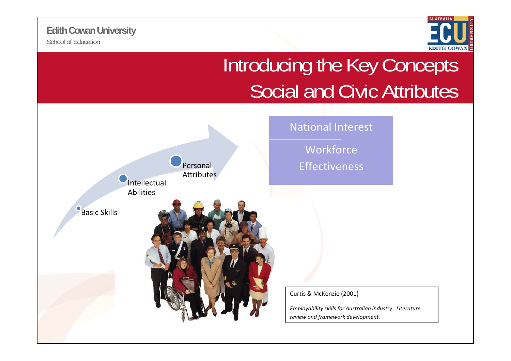School of Education**Edith Cowan University**



# Introducing the Key Concepts Social and Civic Attributes

National Interest Intellectual<br>Abilities PersonalAttributes Workforce Effectiveness Basic Skills Curtis & McKenzie (2001) *Employability skills for Australian industry: Literature review and framework development.*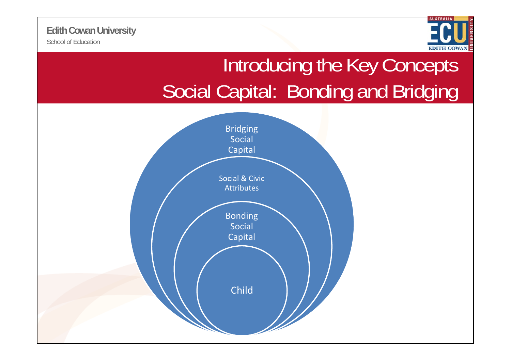

# Introducing the Key Concepts Social Capital: Bonding and Bridging

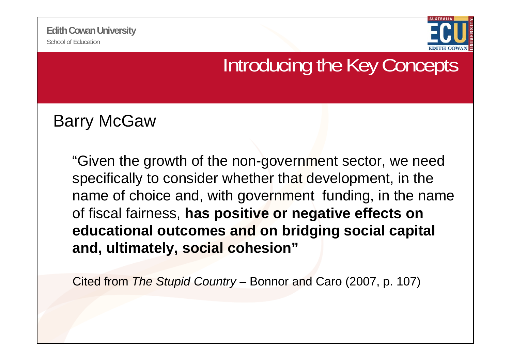

### Introducing the Key Concepts

Barry McGaw

"Given the growth of the non-government sector, we need specifically to consider whether that development, in the name of choice and, with government funding, in the name of fiscal fairness, **has positive or negative effects on educational outcomes and on bridging social capital and, ultimately, social cohesion"**

Cited from *The Stupid Country –* Bonnor and Caro (2007, p. 107)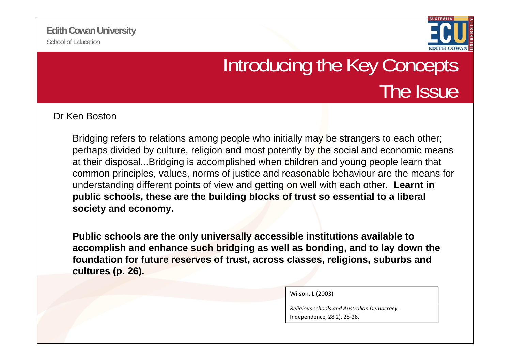

# Introducing the Key Concepts The Issue

Dr Ken Boston

Bridging refers to relations among people who initially may be strangers to each other; perhaps divided by culture, religion and most potently by the social and economic means at their disposal...Bridging is accomplished when children and young people learn that common principles, values, norms of justice and reasonable behaviour are the means for understanding different points of view and getting on well with each other. **Learnt in public schools, these are the building blocks of trust so essential to a liberal society and economy.** 

**Public schools are the only universally accessible institutions available to accomplish and enhance such bridging as well as bonding, and to lay down the**  foundation for future reserves of trust, across classes, religions, suburbs and **cultures (p. 26).**

Wilson, L (2003)

*Religious schools and Australian Democracy.* Independence, 28 2), 25‐28.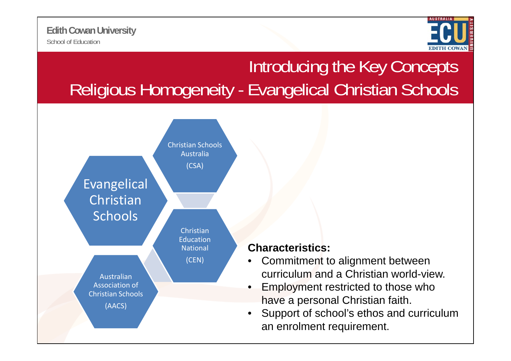

### Introducing the Key Concepts Religious Homogeneity - Evangelical Christian Schools



#### **Characteristics:**

- Commitment to alignment between curriculum and a Christian world-view.
- Employment restricted to those who have a personal Christian faith.
- Support of school's ethos and curriculum an enrolment requirement.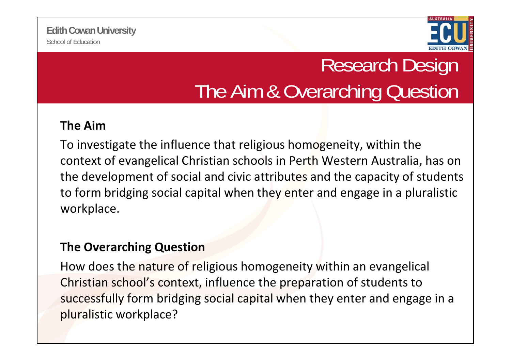

# Research Design The Aim & Overarching Question

### **The Aim**

To investigate the influence that religious homogeneity, within the context of evangelical Christian schools in Perth Western Australia, has on the development of social and civic attributes and the capacity of students to form bridging social capital when they enter and engage in a pluralistic workplace.

### **The Overarching Question**

How does the nature of religious homogeneity within an evangelical Christian school's context, influence the preparation of students to successfully form bridging social capital when they enter and engage in a pluralistic workplace?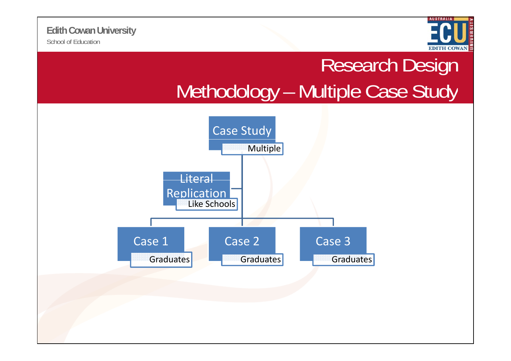